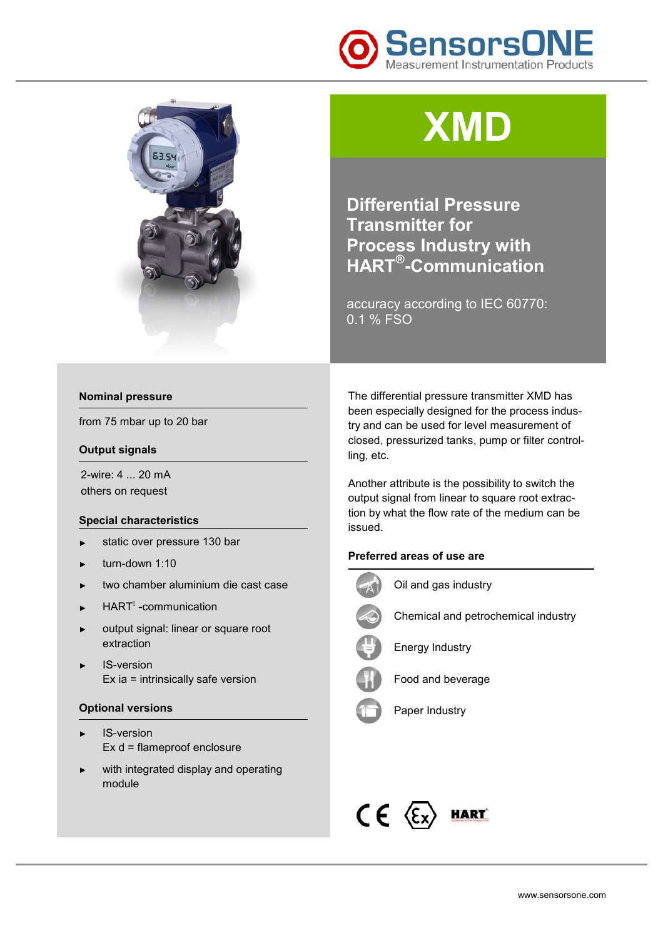



# **XMD**

**Differential Pressure Transmitter for Process Industry with HART® -Communication** 

accuracy according to IEC 60770: 0.1 % FSO

### **Nominal pressure**

from 75 mbar up to 20 bar

#### **Output signals**

2-wire: 4 ... 20 mA others on request

# **Special characteristics**

- ► static over pressure 130 bar
- ► turn-down 1:10
- ► two chamber aluminium die cast case
- ► HART<sup>I</sup> -communication
- ► output signal: linear or square root extraction
- IS-version Ex ia = intrinsically safe version

#### **Optional versions**

- IS-version Ex d = flameproof enclosure
- with integrated display and operating module

The differential pressure transmitter XMD has been especially designed for the process industry and can be used for level measurement of closed, pressurized tanks, pump or filter controlling, etc.

Another attribute is the possibility to switch the output signal from linear to square root extraction by what the flow rate of the medium can be issued.

## **Preferred areas of use are**



Oil and gas industry



Chemical and petrochemical industry



Energy Industry



Food and beverage



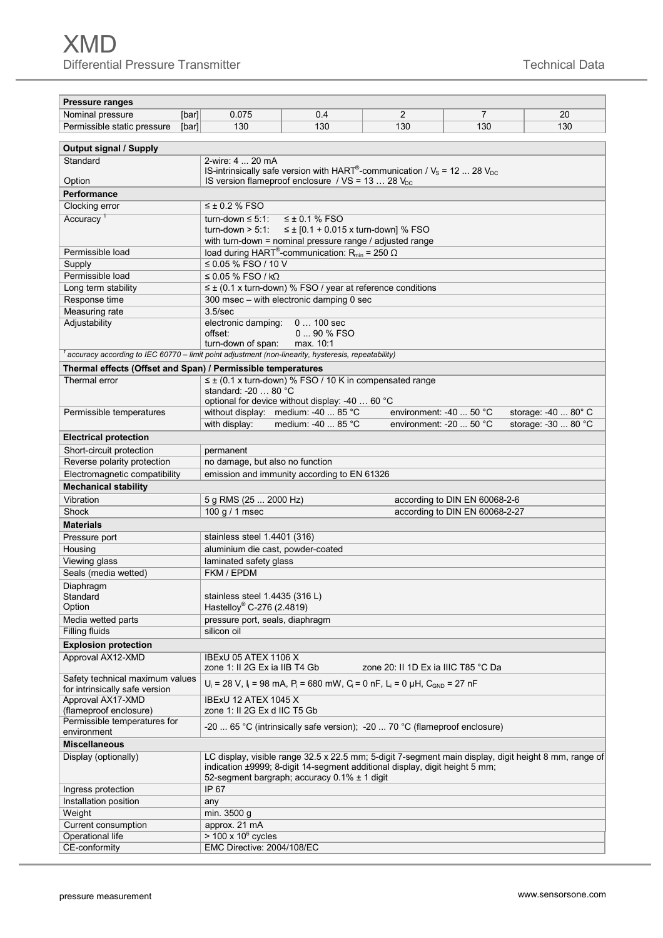L,

| <b>Pressure ranges</b>                                                                              |                                                                                                                                           |                                                                                            |                                     |                                |                                                                                                       |  |  |  |
|-----------------------------------------------------------------------------------------------------|-------------------------------------------------------------------------------------------------------------------------------------------|--------------------------------------------------------------------------------------------|-------------------------------------|--------------------------------|-------------------------------------------------------------------------------------------------------|--|--|--|
| Nominal pressure<br>[bar]                                                                           | 0.075                                                                                                                                     | 0.4                                                                                        | 2                                   | 7                              | 20                                                                                                    |  |  |  |
| Permissible static pressure<br>[bar]                                                                | 130                                                                                                                                       | 130                                                                                        | 130                                 | 130                            | 130                                                                                                   |  |  |  |
|                                                                                                     |                                                                                                                                           |                                                                                            |                                     |                                |                                                                                                       |  |  |  |
| <b>Output signal / Supply</b><br>Standard<br>2-wire: 4  20 mA                                       |                                                                                                                                           |                                                                                            |                                     |                                |                                                                                                       |  |  |  |
|                                                                                                     | IS-intrinsically safe version with HART <sup>®</sup> -communication / $V_s$ = 12  28 $V_{DC}$                                             |                                                                                            |                                     |                                |                                                                                                       |  |  |  |
| Option                                                                                              | IS version flameproof enclosure / $VS = 13$ 28 $V_{DC}$                                                                                   |                                                                                            |                                     |                                |                                                                                                       |  |  |  |
| Performance                                                                                         |                                                                                                                                           |                                                                                            |                                     |                                |                                                                                                       |  |  |  |
|                                                                                                     | $\leq \pm 0.2$ % FSO                                                                                                                      |                                                                                            |                                     |                                |                                                                                                       |  |  |  |
| Clocking error                                                                                      |                                                                                                                                           |                                                                                            |                                     |                                |                                                                                                       |  |  |  |
| Accuracy <sup>1</sup>                                                                               | turn-down $\leq 5:1$ :<br>$\leq \pm 0.1$ % FSO                                                                                            |                                                                                            |                                     |                                |                                                                                                       |  |  |  |
|                                                                                                     | ≤ ± [0.1 + 0.015 x turn-down] % FSO<br>turn-down $> 5:1:$                                                                                 |                                                                                            |                                     |                                |                                                                                                       |  |  |  |
| Permissible load                                                                                    | with turn-down = nominal pressure range / adjusted range<br>load during HART <sup>®</sup> -communication: R <sub>min</sub> = 250 $\Omega$ |                                                                                            |                                     |                                |                                                                                                       |  |  |  |
|                                                                                                     |                                                                                                                                           |                                                                                            |                                     |                                |                                                                                                       |  |  |  |
| Supply<br>Permissible load                                                                          | ≤ 0.05 % FSO / 10 V                                                                                                                       |                                                                                            |                                     |                                |                                                                                                       |  |  |  |
|                                                                                                     | $\leq$ 0.05 % FSO / kQ                                                                                                                    |                                                                                            |                                     |                                |                                                                                                       |  |  |  |
| Long term stability                                                                                 | $\leq \pm$ (0.1 x turn-down) % FSO / year at reference conditions                                                                         |                                                                                            |                                     |                                |                                                                                                       |  |  |  |
| Response time                                                                                       | 300 msec - with electronic damping 0 sec                                                                                                  |                                                                                            |                                     |                                |                                                                                                       |  |  |  |
| Measuring rate                                                                                      | 3.5/sec                                                                                                                                   |                                                                                            |                                     |                                |                                                                                                       |  |  |  |
| Adjustability                                                                                       | offset:                                                                                                                                   | electronic damping:<br>$0100$ sec<br>0  90 % FSO                                           |                                     |                                |                                                                                                       |  |  |  |
|                                                                                                     | turn-down of span:                                                                                                                        | max. 10:1                                                                                  |                                     |                                |                                                                                                       |  |  |  |
| accuracy according to IEC 60770 - limit point adjustment (non-linearity, hysteresis, repeatability) |                                                                                                                                           |                                                                                            |                                     |                                |                                                                                                       |  |  |  |
| Thermal effects (Offset and Span) / Permissible temperatures                                        |                                                                                                                                           |                                                                                            |                                     |                                |                                                                                                       |  |  |  |
| Thermal error                                                                                       |                                                                                                                                           | $\leq \pm$ (0.1 x turn-down) % FSO / 10 K in compensated range                             |                                     |                                |                                                                                                       |  |  |  |
|                                                                                                     | standard: $-20$ 80 $^{\circ}$ C                                                                                                           |                                                                                            |                                     |                                |                                                                                                       |  |  |  |
|                                                                                                     |                                                                                                                                           | optional for device without display: -40  60 °C                                            |                                     |                                |                                                                                                       |  |  |  |
| Permissible temperatures                                                                            |                                                                                                                                           | without display: medium: -40  85 °C                                                        | environment: $-40$ 50 °C            |                                | storage: -40  80° C                                                                                   |  |  |  |
|                                                                                                     | with display:                                                                                                                             | medium: -40  85 °C                                                                         | environment: -20  50 °C             |                                | storage: -30  80 °C                                                                                   |  |  |  |
| <b>Electrical protection</b>                                                                        |                                                                                                                                           |                                                                                            |                                     |                                |                                                                                                       |  |  |  |
| Short-circuit protection                                                                            | permanent                                                                                                                                 |                                                                                            |                                     |                                |                                                                                                       |  |  |  |
| Reverse polarity protection                                                                         | no damage, but also no function                                                                                                           |                                                                                            |                                     |                                |                                                                                                       |  |  |  |
| Electromagnetic compatibility                                                                       |                                                                                                                                           | emission and immunity according to EN 61326                                                |                                     |                                |                                                                                                       |  |  |  |
| <b>Mechanical stability</b>                                                                         |                                                                                                                                           |                                                                                            |                                     |                                |                                                                                                       |  |  |  |
| Vibration                                                                                           | 5 g RMS (25  2000 Hz)                                                                                                                     |                                                                                            |                                     | according to DIN EN 60068-2-6  |                                                                                                       |  |  |  |
| Shock                                                                                               | 100 g / 1 msec                                                                                                                            |                                                                                            |                                     | according to DIN EN 60068-2-27 |                                                                                                       |  |  |  |
| <b>Materials</b>                                                                                    |                                                                                                                                           |                                                                                            |                                     |                                |                                                                                                       |  |  |  |
|                                                                                                     | stainless steel 1.4401 (316)                                                                                                              |                                                                                            |                                     |                                |                                                                                                       |  |  |  |
| Pressure port                                                                                       |                                                                                                                                           |                                                                                            |                                     |                                |                                                                                                       |  |  |  |
| Housing                                                                                             | aluminium die cast, powder-coated                                                                                                         |                                                                                            |                                     |                                |                                                                                                       |  |  |  |
| Viewing glass                                                                                       | laminated safety glass<br>FKM / EPDM                                                                                                      |                                                                                            |                                     |                                |                                                                                                       |  |  |  |
| Seals (media wetted)                                                                                |                                                                                                                                           |                                                                                            |                                     |                                |                                                                                                       |  |  |  |
| Diaphragm<br>Standard                                                                               |                                                                                                                                           |                                                                                            |                                     |                                |                                                                                                       |  |  |  |
| Option                                                                                              | stainless steel $1.4435(316 L)$<br>Hastelloy® C-276 (2.4819)                                                                              |                                                                                            |                                     |                                |                                                                                                       |  |  |  |
|                                                                                                     |                                                                                                                                           |                                                                                            |                                     |                                |                                                                                                       |  |  |  |
| Media wetted parts                                                                                  |                                                                                                                                           | pressure port, seals, diaphragm                                                            |                                     |                                |                                                                                                       |  |  |  |
| Filling fluids                                                                                      | silicon oil                                                                                                                               |                                                                                            |                                     |                                |                                                                                                       |  |  |  |
| <b>Explosion protection</b>                                                                         |                                                                                                                                           |                                                                                            |                                     |                                |                                                                                                       |  |  |  |
| Approval AX12-XMD                                                                                   |                                                                                                                                           | IBExU 05 ATEX 1106 X                                                                       |                                     |                                |                                                                                                       |  |  |  |
| Safety technical maximum values                                                                     | zone 1: Il 2G Ex ia IIB T4 Gb                                                                                                             |                                                                                            | zone 20: II 1D Ex ia IIIC T85 °C Da |                                |                                                                                                       |  |  |  |
| for intrinsically safe version                                                                      |                                                                                                                                           | $U_i = 28$ V, $I_i = 98$ mA, $P_i = 680$ mW, $C_i = 0$ nF, $L_i = 0$ µH, $C_{GND} = 27$ nF |                                     |                                |                                                                                                       |  |  |  |
| Approval AX17-XMD                                                                                   | IBExU 12 ATEX 1045 X                                                                                                                      |                                                                                            |                                     |                                |                                                                                                       |  |  |  |
| (flameproof enclosure)                                                                              | zone 1: II 2G Ex d IIC T5 Gb                                                                                                              |                                                                                            |                                     |                                |                                                                                                       |  |  |  |
| Permissible temperatures for                                                                        | -20  65 °C (intrinsically safe version); -20  70 °C (flameproof enclosure)                                                                |                                                                                            |                                     |                                |                                                                                                       |  |  |  |
| environment                                                                                         |                                                                                                                                           |                                                                                            |                                     |                                |                                                                                                       |  |  |  |
| <b>Miscellaneous</b>                                                                                |                                                                                                                                           |                                                                                            |                                     |                                |                                                                                                       |  |  |  |
| Display (optionally)                                                                                |                                                                                                                                           |                                                                                            |                                     |                                | LC display, visible range 32.5 x 22.5 mm; 5-digit 7-segment main display, digit height 8 mm, range of |  |  |  |
|                                                                                                     |                                                                                                                                           | indication ±9999; 8-digit 14-segment additional display, digit height 5 mm;                |                                     |                                |                                                                                                       |  |  |  |
|                                                                                                     |                                                                                                                                           | 52-segment bargraph; accuracy $0.1\% \pm 1$ digit                                          |                                     |                                |                                                                                                       |  |  |  |
| Ingress protection                                                                                  | IP 67                                                                                                                                     |                                                                                            |                                     |                                |                                                                                                       |  |  |  |
| Installation position                                                                               | any                                                                                                                                       |                                                                                            |                                     |                                |                                                                                                       |  |  |  |
| Weight                                                                                              | min. 3500 g                                                                                                                               |                                                                                            |                                     |                                |                                                                                                       |  |  |  |
| Current consumption                                                                                 | approx. 21 mA                                                                                                                             |                                                                                            |                                     |                                |                                                                                                       |  |  |  |
| Operational life                                                                                    | $> 100 \times 10^6$ cycles                                                                                                                |                                                                                            |                                     |                                |                                                                                                       |  |  |  |
| CE-conformity                                                                                       | EMC Directive: 2004/108/EC                                                                                                                |                                                                                            |                                     |                                |                                                                                                       |  |  |  |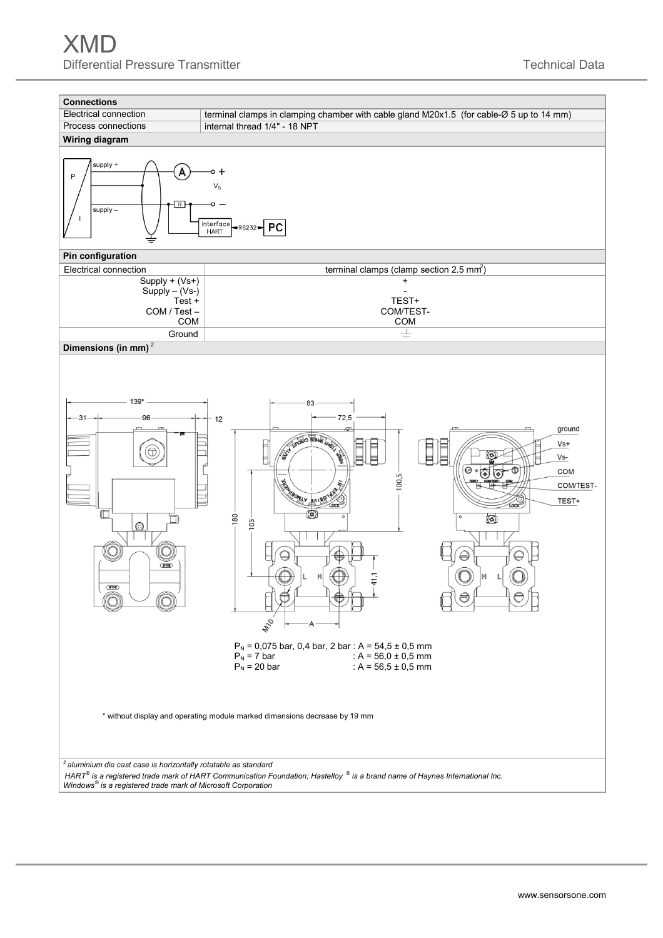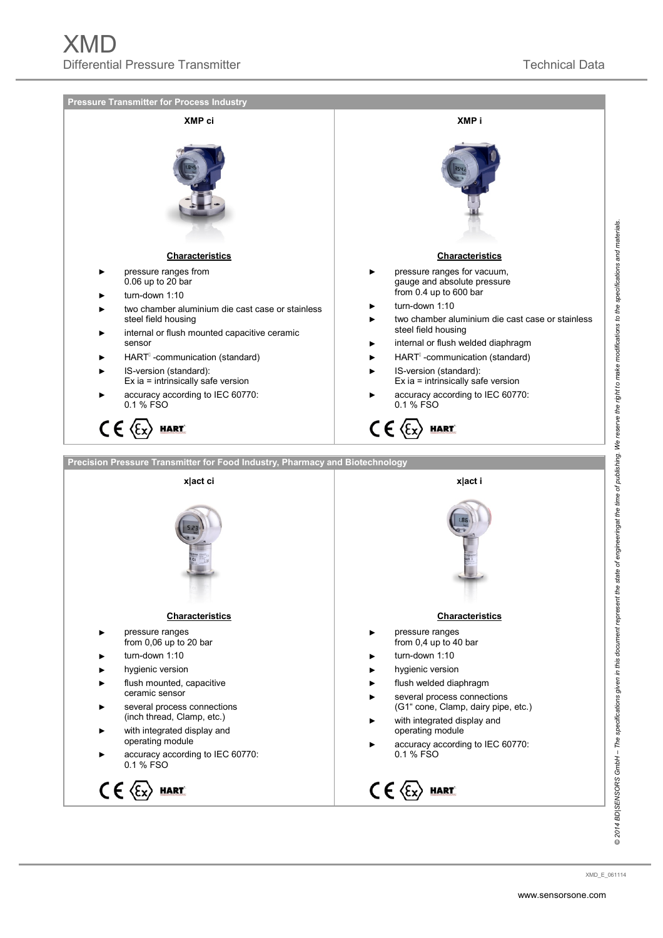